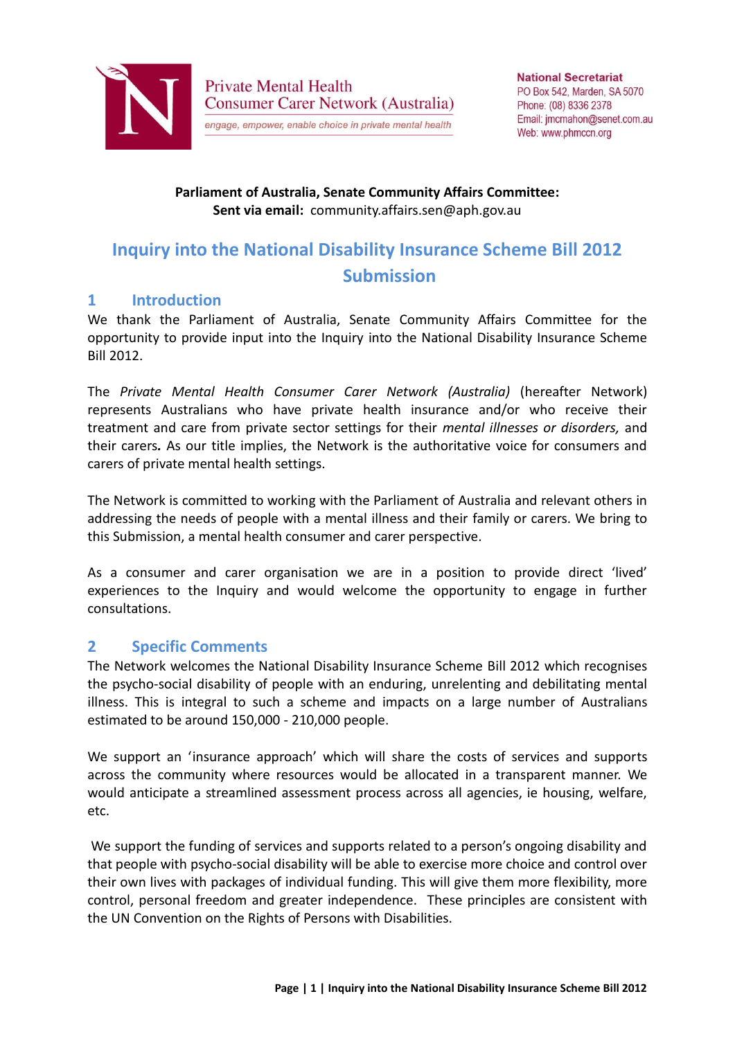

**Private Mental Health Consumer Carer Network (Australia)** engage, empower, enable choice in private mental health

#### **Parliament of Australia, Senate Community Affairs Committee: Sent via email:** community.affairs.sen@aph.gov.au

# **Inquiry into the National Disability Insurance Scheme Bill 2012 Submission**

### **1 Introduction**

We thank the Parliament of Australia, Senate Community Affairs Committee for the opportunity to provide input into the Inquiry into the National Disability Insurance Scheme Bill 2012.

The *Private Mental Health Consumer Carer Network (Australia)* (hereafter Network) represents Australians who have private health insurance and/or who receive their treatment and care from private sector settings for their *mental illnesses or disorders,* and their carers*.* As our title implies, the Network is the authoritative voice for consumers and carers of private mental health settings.

The Network is committed to working with the Parliament of Australia and relevant others in addressing the needs of people with a mental illness and their family or carers. We bring to this Submission, a mental health consumer and carer perspective.

As a consumer and carer organisation we are in a position to provide direct 'lived' experiences to the Inquiry and would welcome the opportunity to engage in further consultations.

## **2 Specific Comments**

The Network welcomes the National Disability Insurance Scheme Bill 2012 which recognises the psycho-social disability of people with an enduring, unrelenting and debilitating mental illness. This is integral to such a scheme and impacts on a large number of Australians estimated to be around 150,000 - 210,000 people.

We support an 'insurance approach' which will share the costs of services and supports across the community where resources would be allocated in a transparent manner. We would anticipate a streamlined assessment process across all agencies, ie housing, welfare, etc.

We support the funding of services and supports related to a person's ongoing disability and that people with psycho-social disability will be able to exercise more choice and control over their own lives with packages of individual funding. This will give them more flexibility, more control, personal freedom and greater independence. These principles are consistent with the UN Convention on the Rights of Persons with Disabilities.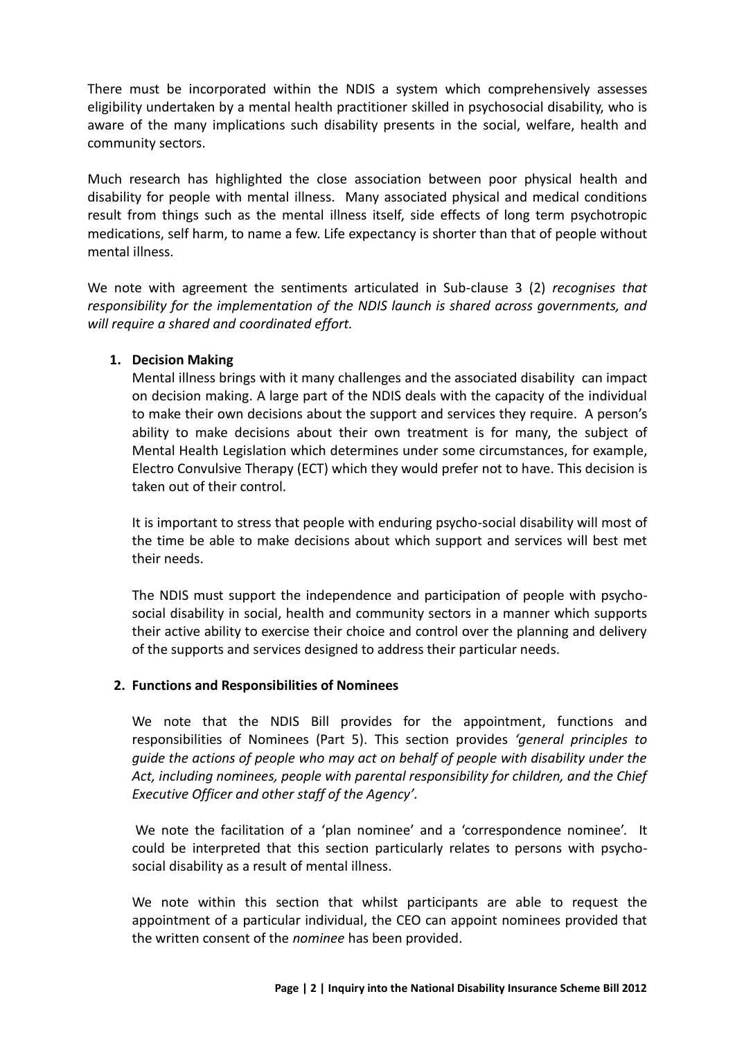There must be incorporated within the NDIS a system which comprehensively assesses eligibility undertaken by a mental health practitioner skilled in psychosocial disability, who is aware of the many implications such disability presents in the social, welfare, health and community sectors.

Much research has highlighted the close association between poor physical health and disability for people with mental illness. Many associated physical and medical conditions result from things such as the mental illness itself, side effects of long term psychotropic medications, self harm, to name a few. Life expectancy is shorter than that of people without mental illness.

We note with agreement the sentiments articulated in Sub-clause 3 (2) *recognises that responsibility for the implementation of the NDIS launch is shared across governments, and will require a shared and coordinated effort.*

#### **1. Decision Making**

Mental illness brings with it many challenges and the associated disability can impact on decision making. A large part of the NDIS deals with the capacity of the individual to make their own decisions about the support and services they require. A person's ability to make decisions about their own treatment is for many, the subject of Mental Health Legislation which determines under some circumstances, for example, Electro Convulsive Therapy (ECT) which they would prefer not to have. This decision is taken out of their control.

It is important to stress that people with enduring psycho-social disability will most of the time be able to make decisions about which support and services will best met their needs.

The NDIS must support the independence and participation of people with psychosocial disability in social, health and community sectors in a manner which supports their active ability to exercise their choice and control over the planning and delivery of the supports and services designed to address their particular needs.

#### **2. Functions and Responsibilities of Nominees**

We note that the NDIS Bill provides for the appointment, functions and responsibilities of Nominees (Part 5). This section provides *'general principles to guide the actions of people who may act on behalf of people with disability under the Act, including nominees, people with parental responsibility for children, and the Chief Executive Officer and other staff of the Agency'.* 

We note the facilitation of a 'plan nominee' and a 'correspondence nominee'. It could be interpreted that this section particularly relates to persons with psychosocial disability as a result of mental illness.

We note within this section that whilst participants are able to request the appointment of a particular individual, the CEO can appoint nominees provided that the written consent of the *nominee* has been provided.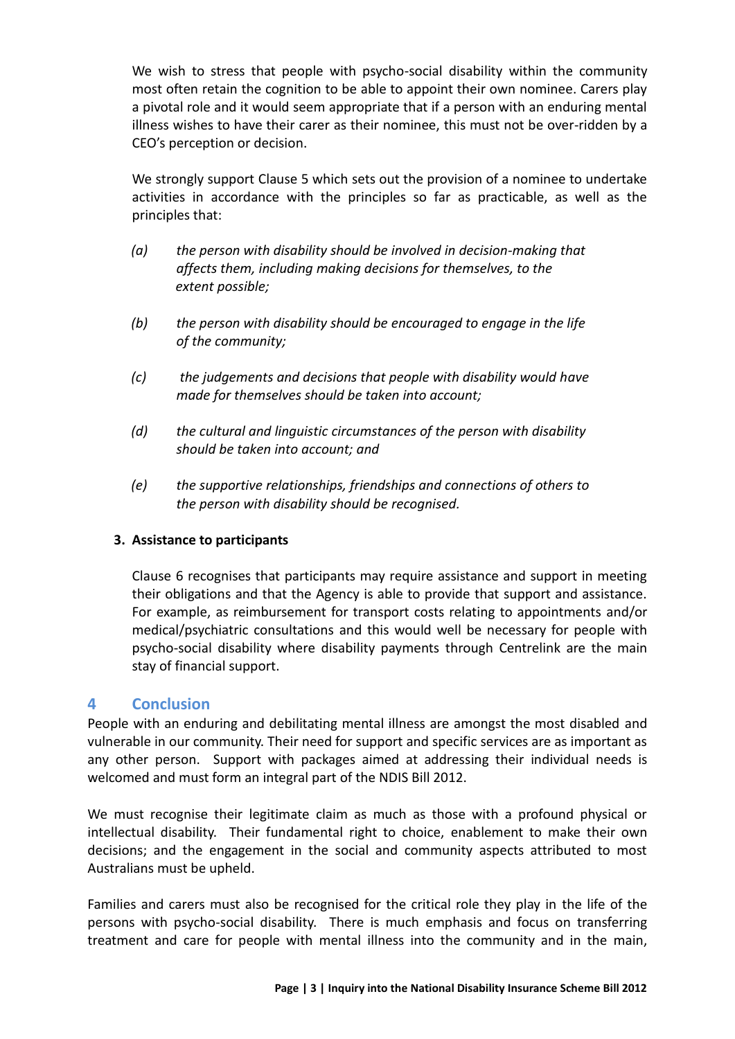We wish to stress that people with psycho-social disability within the community most often retain the cognition to be able to appoint their own nominee. Carers play a pivotal role and it would seem appropriate that if a person with an enduring mental illness wishes to have their carer as their nominee, this must not be over-ridden by a CEO's perception or decision.

We strongly support Clause 5 which sets out the provision of a nominee to undertake activities in accordance with the principles so far as practicable, as well as the principles that:

- *(a) the person with disability should be involved in decision-making that affects them, including making decisions for themselves, to the extent possible;*
- *(b) the person with disability should be encouraged to engage in the life of the community;*
- *(c) the judgements and decisions that people with disability would have made for themselves should be taken into account;*
- *(d) the cultural and linguistic circumstances of the person with disability should be taken into account; and*
- *(e) the supportive relationships, friendships and connections of others to the person with disability should be recognised.*

#### **3. Assistance to participants**

Clause 6 recognises that participants may require assistance and support in meeting their obligations and that the Agency is able to provide that support and assistance. For example, as reimbursement for transport costs relating to appointments and/or medical/psychiatric consultations and this would well be necessary for people with psycho-social disability where disability payments through Centrelink are the main stay of financial support.

#### **4 Conclusion**

People with an enduring and debilitating mental illness are amongst the most disabled and vulnerable in our community. Their need for support and specific services are as important as any other person. Support with packages aimed at addressing their individual needs is welcomed and must form an integral part of the NDIS Bill 2012.

We must recognise their legitimate claim as much as those with a profound physical or intellectual disability. Their fundamental right to choice, enablement to make their own decisions; and the engagement in the social and community aspects attributed to most Australians must be upheld.

Families and carers must also be recognised for the critical role they play in the life of the persons with psycho-social disability. There is much emphasis and focus on transferring treatment and care for people with mental illness into the community and in the main,